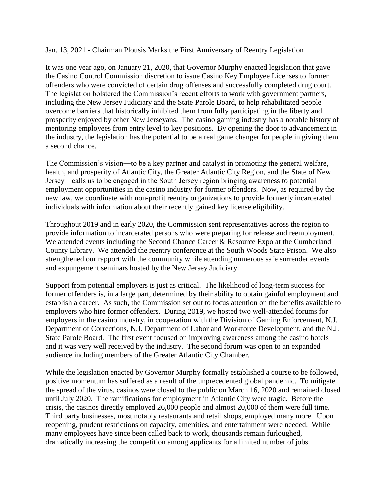Jan. 13, 2021 - Chairman Plousis Marks the First Anniversary of Reentry Legislation

It was one year ago, on January 21, 2020, that Governor Murphy enacted legislation that gave the Casino Control Commission discretion to issue Casino Key Employee Licenses to former offenders who were convicted of certain drug offenses and successfully completed drug court. The legislation bolstered the Commission's recent efforts to work with government partners, including the New Jersey Judiciary and the State Parole Board, to help rehabilitated people overcome barriers that historically inhibited them from fully participating in the liberty and prosperity enjoyed by other New Jerseyans. The casino gaming industry has a notable history of mentoring employees from entry level to key positions. By opening the door to advancement in the industry, the legislation has the potential to be a real game changer for people in giving them a second chance.

The Commission's vision―to be a key partner and catalyst in promoting the general welfare, health, and prosperity of Atlantic City, the Greater Atlantic City Region, and the State of New Jersey―calls us to be engaged in the South Jersey region bringing awareness to potential employment opportunities in the casino industry for former offenders. Now, as required by the new law, we coordinate with non-profit reentry organizations to provide formerly incarcerated individuals with information about their recently gained key license eligibility.

Throughout 2019 and in early 2020, the Commission sent representatives across the region to provide information to incarcerated persons who were preparing for release and reemployment. We attended events including the Second Chance Career & Resource Expo at the Cumberland County Library. We attended the reentry conference at the South Woods State Prison. We also strengthened our rapport with the community while attending numerous safe surrender events and expungement seminars hosted by the New Jersey Judiciary.

Support from potential employers is just as critical. The likelihood of long-term success for former offenders is, in a large part, determined by their ability to obtain gainful employment and establish a career. As such, the Commission set out to focus attention on the benefits available to employers who hire former offenders. During 2019, we hosted two well-attended forums for employers in the casino industry, in cooperation with the Division of Gaming Enforcement, N.J. Department of Corrections, N.J. Department of Labor and Workforce Development, and the N.J. State Parole Board. The first event focused on improving awareness among the casino hotels and it was very well received by the industry. The second forum was open to an expanded audience including members of the Greater Atlantic City Chamber.

While the legislation enacted by Governor Murphy formally established a course to be followed, positive momentum has suffered as a result of the unprecedented global pandemic. To mitigate the spread of the virus, casinos were closed to the public on March 16, 2020 and remained closed until July 2020. The ramifications for employment in Atlantic City were tragic. Before the crisis, the casinos directly employed 26,000 people and almost 20,000 of them were full time. Third party businesses, most notably restaurants and retail shops, employed many more. Upon reopening, prudent restrictions on capacity, amenities, and entertainment were needed. While many employees have since been called back to work, thousands remain furloughed, dramatically increasing the competition among applicants for a limited number of jobs.